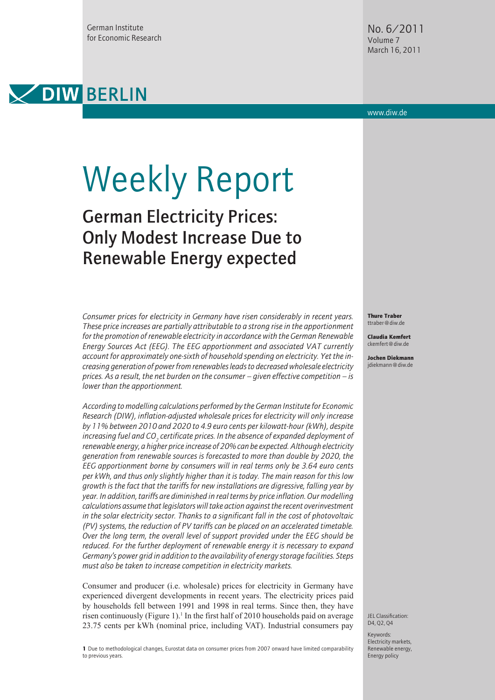German Institute for Economic Research



www.diw.de

# Weekly Report

## German Electricity Prices: Only Modest Increase Due to Renewable Energy expected

*Consumer prices for electricity in Germany have risen considerably in recent years. These price increases are partially attributable to a strong rise in the apportionment for the promotion of renewable electricity in accordance with the German Renewable Energy Sources Act (EEG). The EEG apportionment and associated VAT currently account for approximately one-sixth of household spending on electricity. Yet the increasing generation of power from renewables leads to decreased wholesale electricity prices. As a result, the net burden on the consumer – given effective competition – is lower than the apportionment.* 

*According to modelling calculations performed by the German Institute for Economic Research (DIW), inflation-adjusted wholesale prices for electricity will only increase by 11% between 2010 and 2020 to 4.9 euro cents per kilowatt-hour (kWh), despite*  increasing fuel and CO<sub>2</sub> certificate prices. In the absence of expanded deployment of *renewable energy, a higher price increase of 20% can be expected. Although electricity generation from renewable sources is forecasted to more than double by 2020, the EEG apportionment borne by consumers will in real terms only be 3.64 euro cents per kWh, and thus only slightly higher than it is today. The main reason for this low growth is the fact that the tariffs for new installations are digressive, falling year by year. In addition, tariffs are diminished in real terms by price inflation. Our modelling calculations assume that legislators will take action against the recent overinvestment in the solar electricity sector. Thanks to a significant fall in the cost of photovoltaic (PV) systems, the reduction of PV tariffs can be placed on an accelerated timetable. Over the long term, the overall level of support provided under the EEG should be reduced. For the further deployment of renewable energy it is necessary to expand Germany's power grid in addition to the availability of energy storage facilities. Steps must also be taken to increase competition in electricity markets.* 

Consumer and producer (i.e. wholesale) prices for electricity in Germany have experienced divergent developments in recent years. The electricity prices paid by households fell between 1991 and 1998 in real terms. Since then, they have risen continuously (Figure 1).<sup>1</sup> In the first half of 2010 households paid on average 23.75 cents per kWh (nominal price, including VAT). Industrial consumers pay

Thure Traber ttraber@diw.de

Claudia Kemfert ckemfert@diw.de

Jochen Diekmann jdiekmann@diw.de

JEL Classification: D4, Q2, Q4

1 Due to methodological changes, Eurostat data on consumer prices from 2007 onward have limited comparability to previous years.

Keywords: Electricity markets, Renewable energy, Energy policy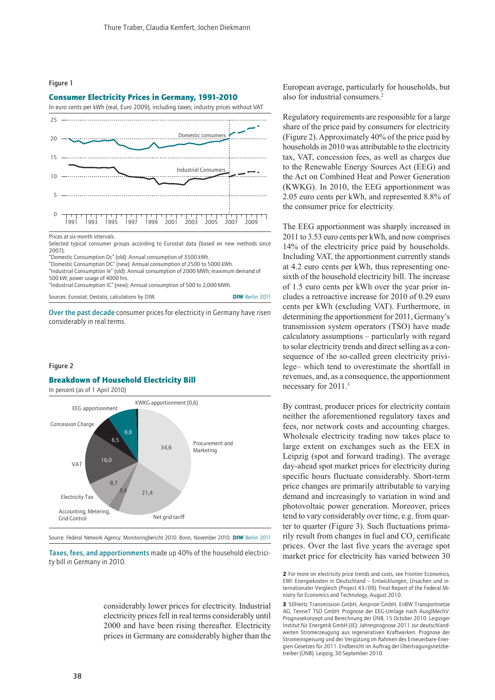

#### Consumer Electricity Prices in Germany, 1991–2010



Prices at six-month intervals.

Selected typical consumer groups according to Eurostat data (based on new methods since 2007):

"Domestic Consumption Dc" (old): Annual consumption of 3500 kWh.

"Domestic Consumption DC" (new): Annual consumption of 2500 to 5000 kWh.

"Industrial Consumption Ie" (old): Annual consumption of 2000 MWh; maximum demand of 500 kW; power usage of 4000 hrs.

"Industrial Consumption IC" (new): Annual consumption of 500 to 2,000 MWh.

Sources: Eurostat; Destatis; calculations by DIW. DIW Berlin 2011

Over the past decade consumer prices for electricity in Germany have risen considerably in real terms.

#### Figure 2

#### Breakdown of Household Electricity Bill

In percent (as of 1 April 2010)



Source: Federal Network Agency: Monitoringbericht 2010. Bonn, November 2010. DIW Berlin 2011

Taxes, fees, and apportionments made up 40% of the household electricity bill in Germany in 2010.

> considerably lower prices for electricity. Industrial electricity prices fell in real terms considerably until 2000 and have been rising thereafter. Electricity prices in Germany are considerably higher than the

European average, particularly for households, but also for industrial consumers.2

Regulatory requirements are responsible for a large share of the price paid by consumers for electricity (Figure 2). Approximately 40% of the price paid by households in 2010 was attributable to the electricity tax, VAT, concession fees, as well as charges due to the Renewable Energy Sources Act (EEG) and the Act on Combined Heat and Power Generation (KWKG). In 2010, the EEG apportionment was 2.05 euro cents per kWh, and represented 8.8% of the consumer price for electricity.

The EEG apportionment was sharply increased in 2011 to 3.53 euro cents per kWh, and now comprises 14% of the electricity price paid by households. Including VAT, the apportionment currently stands at 4.2 euro cents per kWh, thus representing onesixth of the household electricity bill. The increase of 1.5 euro cents per kWh over the year prior includes a retroactive increase for 2010 of 0.29 euro cents per kWh (excluding VAT). Furthermore, in determining the apportionment for 2011, Germany's transmission system operators (TSO) have made calculatory assumptions – particularly with regard to solar electricity trends and direct selling as a consequence of the so-called green electricity privilege– which tend to overestimate the shortfall in revenues, and, as a consequence, the apportionment necessary for 2011.3

By contrast, producer prices for electricity contain neither the aforementioned regulatory taxes and fees, nor network costs and accounting charges. Wholesale electricity trading now takes place to large extent on exchanges such as the EEX in Leipzig (spot and forward trading). The average day-ahead spot market prices for electricity during specific hours fluctuate considerably. Short-term price changes are primarily attributable to varying demand and increasingly to variation in wind and photovoltaic power generation. Moreover, prices tend to vary considerably over time, e.g. from quarter to quarter (Figure 3). Such fluctuations primarily result from changes in fuel and  $CO<sub>2</sub>$  certificate prices. Over the last five years the average spot market price for electricity has varied between 30

2 For more on electricity price trends and costs, see Frontier Economics, EWI: Energiekosten in Deutschland – Entwicklungen, Ursachen und internationaler Vergleich (Project 43/09). Final Report of the Federal Ministry for Economics and Technology, August 2010.

3 50Hertz Transmission GmbH, Amprion GmbH, EnBW Transportnetze AG, TenneT TSO GmbH: Prognose der EEG-Umlage nach AusglMechV. Prognosekonzept und Berechnung der ÜNB, 15 October 2010. Leipziger Institut für Energetik GmbH (IE): Jahresprognose 2011 zur deutschlandweiten Stromerzeugung aus regenerativen Kraftwerken. Prognose der Stromeinspeisung und der Vergütung im Rahmen des Erneuerbare-Energien-Gesetzes für 2011. Endbericht im Auftrag der Übertragungsnetzbetreiber (ÜNB). Leipzig, 30 September 2010.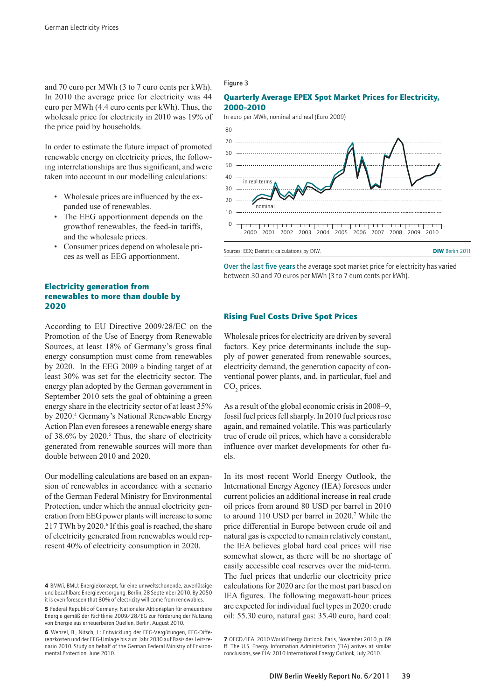and 70 euro per MWh (3 to 7 euro cents per kWh). In 2010 the average price for electricity was 44 euro per MWh (4.4 euro cents per kWh). Thus, the wholesale price for electricity in 2010 was 19% of the price paid by households.

In order to estimate the future impact of promoted renewable energy on electricity prices, the following interrelationships are thus significant, and were taken into account in our modelling calculations:

- Wholesale prices are influenced by the expanded use of renewables.
- The EEG apportionment depends on the growthof renewables, the feed-in tariffs, and the wholesale prices.
- Consumer prices depend on wholesale prices as well as EEG apportionment.

#### Electricity generation from renewables to more than double by 2020

According to EU Directive 2009/28/EC on the Promotion of the Use of Energy from Renewable Sources, at least 18% of Germany's gross final energy consumption must come from renewables by 2020. In the EEG 2009 a binding target of at least 30% was set for the electricity sector. The energy plan adopted by the German government in September 2010 sets the goal of obtaining a green energy share in the electricity sector of at least 35% by 2020.<sup>4</sup> Germany's National Renewable Energy Action Plan even foresees a renewable energy share of  $38.6\%$  by  $2020$ .<sup>5</sup> Thus, the share of electricity generated from renewable sources will more than double between 2010 and 2020.

Our modelling calculations are based on an expansion of renewables in accordance with a scenario of the German Federal Ministry for Environmental Protection, under which the annual electricity generation from EEG power plants will increase to some 217 TWh by 2020.<sup>6</sup> If this goal is reached, the share of electricity generated from renewables would represent 40% of electricity consumption in 2020.

#### Figure 3

#### Quarterly Average EPEX Spot Market Prices for Electricity, 2000–2010





#### Rising Fuel Costs Drive Spot Prices

Wholesale prices for electricity are driven by several factors. Key price determinants include the supply of power generated from renewable sources, electricity demand, the generation capacity of conventional power plants, and, in particular, fuel and  $CO<sub>2</sub>$  prices.

As a result of the global economic crisis in 2008–9, fossil fuel prices fell sharply. In 2010 fuel prices rose again, and remained volatile. This was particularly true of crude oil prices, which have a considerable influence over market developments for other fuels.

In its most recent World Energy Outlook, the International Energy Agency (IEA) foresees under current policies an additional increase in real crude oil prices from around 80 USD per barrel in 2010 to around 110 USD per barrel in 2020.<sup>7</sup> While the price differential in Europe between crude oil and natural gas is expected to remain relatively constant, the IEA believes global hard coal prices will rise somewhat slower, as there will be no shortage of easily accessible coal reserves over the mid-term. The fuel prices that underlie our electricity price calculations for 2020 are for the most part based on IEA figures. The following megawatt-hour prices are expected for individual fuel types in 2020: crude oil: 55.30 euro, natural gas: 35.40 euro, hard coal:

<sup>4</sup> BMWi, BMU: Energiekonzept, für eine umweltschonende, zuverlässige und bezahlbare Energieversorgung. Berlin, 28 September 2010. By 2050 it is even foreseen that 80% of electricity will come from renewables.

<sup>5</sup> Federal Republic of Germany: Nationaler Aktionsplan für erneuerbare Energie gemäß der Richtlinie 2009/28/EG zur Förderung der Nutzung von Energie aus erneuerbaren Quellen. Berlin, August 2010.

<sup>6</sup> Wenzel, B., Nitsch, J.: Entwicklung der EEG-Vergütungen, EEG-Differenzkosten und der EEG-Umlage bis zum Jahr 2030 auf Basis des Leitszenario 2010. Study on behalf of the German Federal Ministry of Environmental Protection. June 2010.

<sup>7</sup> OECD/IEA: 2010 World Energy Outlook. Paris, November 2010, p. 69 ff. The U.S. Energy Information Administration (EIA) arrives at similar conclusions, see EIA: 2010 International Energy Outlook, July 2010.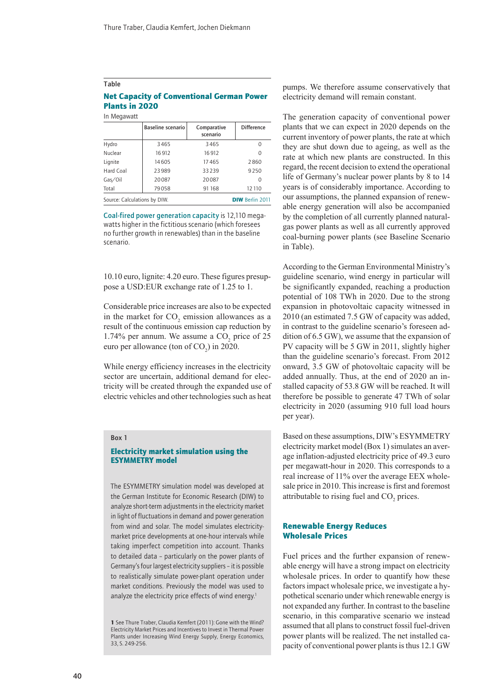#### Table

#### Net Capacity of Conventional German Power Plants in 2020

In Megawatt

|                              | <b>Baseline scenario</b> | Comparative<br>scenario | <b>Difference</b>      |
|------------------------------|--------------------------|-------------------------|------------------------|
| Hydro                        | 3465                     | 3465                    | 0                      |
| Nuclear                      | 16912                    | 16912                   |                        |
| Lignite                      | 14605                    | 17465                   | 2860                   |
| Hard Coal                    | 23989                    | 33239                   | 9250                   |
| Gas/Oil                      | 20087                    | 20087                   | 0                      |
| Total                        | 79058                    | 91 168                  | 12 110                 |
| Source: Calculations by DIW. |                          |                         | <b>DIW Berlin 2011</b> |

Coal-fired power generation capacity is 12,110 megawatts higher in the fictitious scenario (which foresees no further growth in renewables) than in the baseline scenario.

10.10 euro, lignite: 4.20 euro. These figures presuppose a USD:EUR exchange rate of 1.25 to 1.

Considerable price increases are also to be expected in the market for  $CO_2$  emission allowances as a result of the continuous emission cap reduction by 1.74% per annum. We assume a  $CO_2$  price of 25 euro per allowance (ton of  $CO<sub>2</sub>$ ) in 2020.

While energy efficiency increases in the electricity sector are uncertain, additional demand for electricity will be created through the expanded use of electric vehicles and other technologies such as heat

#### Box 1

#### Electricity market simulation using the ESYMMETRY model

The ESYMMETRY simulation model was developed at the German Institute for Economic Research (DIW) to analyze short-term adjustments in the electricity market in light of fluctuations in demand and power generation from wind and solar. The model simulates electricitymarket price developments at one-hour intervals while taking imperfect competition into account. Thanks to detailed data – particularly on the power plants of Germany's four largest electricity suppliers – it is possible to realistically simulate power-plant operation under market conditions. Previously the model was used to analyze the electricity price effects of wind energy.<sup>1</sup>

pumps. We therefore assume conservatively that electricity demand will remain constant.

The generation capacity of conventional power plants that we can expect in 2020 depends on the current inventory of power plants, the rate at which they are shut down due to ageing, as well as the rate at which new plants are constructed. In this regard, the recent decision to extend the operational life of Germany's nuclear power plants by 8 to 14 years is of considerably importance. According to our assumptions, the planned expansion of renewable energy generation will also be accompanied by the completion of all currently planned naturalgas power plants as well as all currently approved coal-burning power plants (see Baseline Scenario in Table).

According to the German Environmental Ministry's guideline scenario, wind energy in particular will be significantly expanded, reaching a production potential of 108 TWh in 2020. Due to the strong expansion in photovoltaic capacity witnessed in 2010 (an estimated 7.5 GW of capacity was added, in contrast to the guideline scenario's foreseen addition of 6.5 GW), we assume that the expansion of PV capacity will be 5 GW in 2011, slightly higher than the guideline scenario's forecast. From 2012 onward, 3.5 GW of photovoltaic capacity will be added annually. Thus, at the end of 2020 an installed capacity of 53.8 GW will be reached. It will therefore be possible to generate 47 TWh of solar electricity in 2020 (assuming 910 full load hours per year).

Based on these assumptions, DIW's ESYMMETRY electricity market model (Box 1) simulates an average inflation-adjusted electricity price of 49.3 euro per megawatt-hour in 2020. This corresponds to a real increase of 11% over the average EEX wholesale price in 2010. This increase is first and foremost attributable to rising fuel and  $CO<sub>2</sub>$  prices.

#### Renewable Energy Reduces Wholesale Prices

Fuel prices and the further expansion of renewable energy will have a strong impact on electricity wholesale prices. In order to quantify how these factors impact wholesale price, we investigate a hypothetical scenario under which renewable energy is not expanded any further. In contrast to the baseline scenario, in this comparative scenario we instead assumed that all plans to construct fossil fuel-driven power plants will be realized. The net installed capacity of conventional power plants is thus 12.1 GW

<sup>1</sup> See Thure Traber, Claudia Kemfert (2011): Gone with the Wind? Electricity Market Prices and Incentives to Invest in Thermal Power Plants under Increasing Wind Energy Supply, Energy Economics, 33, S. 249-256.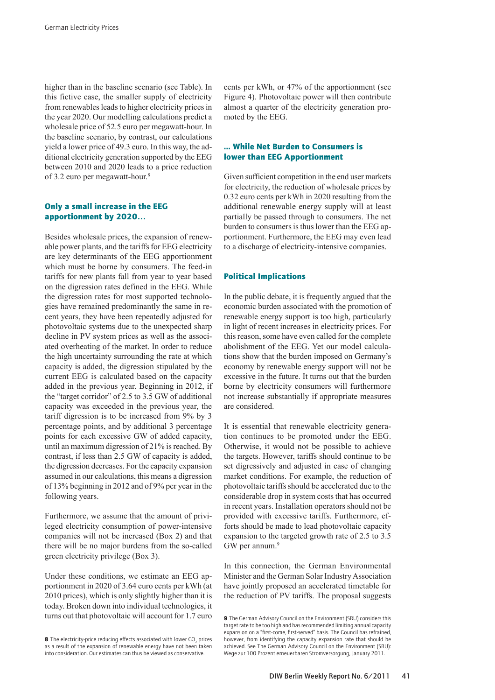higher than in the baseline scenario (see Table). In this fictive case, the smaller supply of electricity from renewables leads to higher electricity prices in the year 2020. Our modelling calculations predict a wholesale price of 52.5 euro per megawatt-hour. In the baseline scenario, by contrast, our calculations yield a lower price of 49.3 euro. In this way, the additional electricity generation supported by the EEG between 2010 and 2020 leads to a price reduction of 3.2 euro per megawatt-hour.8

#### Only a small increase in the EEG apportionment by 2020…

Besides wholesale prices, the expansion of renewable power plants, and the tariffs for EEG electricity are key determinants of the EEG apportionment which must be borne by consumers. The feed-in tariffs for new plants fall from year to year based on the digression rates defined in the EEG. While the digression rates for most supported technologies have remained predominantly the same in recent years, they have been repeatedly adjusted for photovoltaic systems due to the unexpected sharp decline in PV system prices as well as the associated overheating of the market. In order to reduce the high uncertainty surrounding the rate at which capacity is added, the digression stipulated by the current EEG is calculated based on the capacity added in the previous year. Beginning in 2012, if the "target corridor" of 2.5 to 3.5 GW of additional capacity was exceeded in the previous year, the tariff digression is to be increased from 9% by 3 percentage points, and by additional 3 percentage points for each excessive GW of added capacity, until an maximum digression of 21% is reached. By contrast, if less than 2.5 GW of capacity is added, the digression decreases. For the capacity expansion assumed in our calculations, this means a digression of 13% beginning in 2012 and of 9% per year in the following years.

Furthermore, we assume that the amount of privileged electricity consumption of power-intensive companies will not be increased (Box 2) and that there will be no major burdens from the so-called green electricity privilege (Box 3).

Under these conditions, we estimate an EEG apportionment in 2020 of 3.64 euro cents per kWh (at 2010 prices), which is only slightly higher than it is today. Broken down into individual technologies, it turns out that photovoltaic will account for 1.7 euro cents per kWh, or 47% of the apportionment (see Figure 4). Photovoltaic power will then contribute almost a quarter of the electricity generation promoted by the EEG.

#### ... While Net Burden to Consumers is lower than EEG Apportionment

Given sufficient competition in the end user markets for electricity, the reduction of wholesale prices by 0.32 euro cents per kWh in 2020 resulting from the additional renewable energy supply will at least partially be passed through to consumers. The net burden to consumers is thus lower than the EEG apportionment. Furthermore, the EEG may even lead to a discharge of electricity-intensive companies.

#### Political Implications

In the public debate, it is frequently argued that the economic burden associated with the promotion of renewable energy support is too high, particularly in light of recent increases in electricity prices. For this reason, some have even called for the complete abolishment of the EEG. Yet our model calculations show that the burden imposed on Germany's economy by renewable energy support will not be excessive in the future. It turns out that the burden borne by electricity consumers will furthermore not increase substantially if appropriate measures are considered.

It is essential that renewable electricity generation continues to be promoted under the EEG. Otherwise, it would not be possible to achieve the targets. However, tariffs should continue to be set digressively and adjusted in case of changing market conditions. For example, the reduction of photovoltaic tariffs should be accelerated due to the considerable drop in system costs that has occurred in recent years. Installation operators should not be provided with excessive tariffs. Furthermore, efforts should be made to lead photovoltaic capacity expansion to the targeted growth rate of 2.5 to 3.5 GW per annum.<sup>9</sup>

In this connection, the German Environmental Minister and the German Solar Industry Association have jointly proposed an accelerated timetable for the reduction of PV tariffs. The proposal suggests

**<sup>8</sup>** The electricity-price reducing effects associated with lower  $\mathrm{CO}_2$  prices as a result of the expansion of renewable energy have not been taken into consideration. Our estimates can thus be viewed as conservative.

<sup>9</sup> The German Advisory Council on the Environment (SRU) considers this target rate to be too high and has recommended limiting annual capacity expansion on a "first-come, first-served" basis. The Council has refrained, however, from identifying the capacity expansion rate that should be achieved. See The German Advisory Council on the Environment (SRU): Wege zur 100 Prozent erneuerbaren Stromversorgung, January 2011.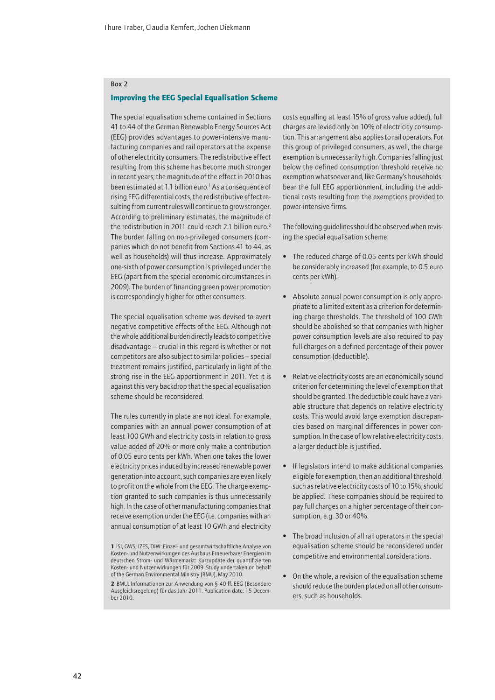#### Box 2

#### Improving the EEG Special Equalisation Scheme

The special equalisation scheme contained in Sections 41 to 44 of the German Renewable Energy Sources Act (EEG) provides advantages to power-intensive manufacturing companies and rail operators at the expense of other electricity consumers. The redistributive effect resulting from this scheme has become much stronger in recent years; the magnitude of the effect in 2010 has been estimated at 1.1 billion euro.<sup>1</sup> As a consequence of rising EEG differential costs, the redistributive effect resulting from current rules will continue to grow stronger. According to preliminary estimates, the magnitude of the redistribution in 2011 could reach 2.1 billion euro.<sup>2</sup> The burden falling on non-privileged consumers (companies which do not benefit from Sections 41 to 44, as well as households) will thus increase. Approximately one-sixth of power consumption is privileged under the EEG (apart from the special economic circumstances in 2009). The burden of financing green power promotion is correspondingly higher for other consumers.

The special equalisation scheme was devised to avert negative competitive effects of the EEG. Although not the whole additional burden directly leads to competitive disadvantage – crucial in this regard is whether or not competitors are also subject to similar policies – special treatment remains justified, particularly in light of the strong rise in the EEG apportionment in 2011. Yet it is against this very backdrop that the special equalisation scheme should be reconsidered.

The rules currently in place are not ideal. For example, companies with an annual power consumption of at least 100 GWh and electricity costs in relation to gross value added of 20% or more only make a contribution of 0.05 euro cents per kWh. When one takes the lower electricity prices induced by increased renewable power generation into account, such companies are even likely to profit on the whole from the EEG. The charge exemption granted to such companies is thus unnecessarily high. In the case of other manufacturing companies that receive exemption under the EEG (i.e. companies with an annual consumption of at least 10 GWh and electricity

costs equalling at least 15% of gross value added), full charges are levied only on 10% of electricity consumption. This arrangement also applies to rail operators. For this group of privileged consumers, as well, the charge exemption is unnecessarily high. Companies falling just below the defined consumption threshold receive no exemption whatsoever and, like Germany's households, bear the full EEG apportionment, including the additional costs resulting from the exemptions provided to power-intensive firms.

The following guidelines should be observed when revising the special equalisation scheme:

- The reduced charge of 0.05 cents per kWh should be considerably increased (for example, to 0.5 euro cents per kWh).
- Absolute annual power consumption is only appropriate to a limited extent as a criterion for determining charge thresholds. The threshold of 100 GWh should be abolished so that companies with higher power consumption levels are also required to pay full charges on a defined percentage of their power consumption (deductible).
- Relative electricity costs are an economically sound criterion for determining the level of exemption that should be granted. The deductible could have a variable structure that depends on relative electricity costs. This would avoid large exemption discrepancies based on marginal differences in power consumption. In the case of low relative electricity costs, a larger deductible is justified.
- If legislators intend to make additional companies eligible for exemption, then an additional threshold, such as relative electricity costs of 10 to 15%, should be applied. These companies should be required to pay full charges on a higher percentage of their consumption, e.g. 30 or 40%.
- The broad inclusion of all rail operators in the special equalisation scheme should be reconsidered under competitive and environmental considerations.
- On the whole, a revision of the equalisation scheme should reduce the burden placed on all other consumers, such as households.

<sup>1</sup> ISI, GWS, IZES, DIW: Einzel- und gesamtwirtschaftliche Analyse von Kosten- und Nutzenwirkungen des Ausbaus Erneuerbarer Energien im deutschen Strom- und Wärmemarkt: Kurzupdate der quantifizierten Kosten- und Nutzenwirkungen für 2009. Study undertaken on behalf of the German Environmental Ministry (BMU), May 2010.

<sup>2</sup> BMU: Informationen zur Anwendung von § 40 ff. EEG (Besondere Ausgleichsregelung) für das Jahr 2011. Publication date: 15 December 2010.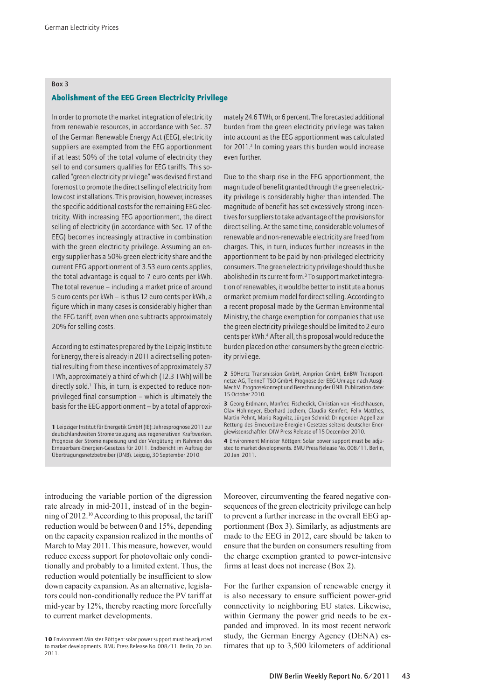#### Box 3

#### Abolishment of the EEG Green Electricity Privilege

In order to promote the market integration of electricity from renewable resources, in accordance with Sec. 37 of the German Renewable Energy Act (EEG), electricity suppliers are exempted from the EEG apportionment if at least 50% of the total volume of electricity they sell to end consumers qualifies for EEG tariffs. This socalled "green electricity privilege" was devised first and foremost to promote the direct selling of electricity from low cost installations. This provision, however, increases the specific additional costs for the remaining EEG electricity. With increasing EEG apportionment, the direct selling of electricity (in accordance with Sec. 17 of the EEG) becomes increasingly attractive in combination with the green electricity privilege. Assuming an energy supplier has a 50% green electricity share and the current EEG apportionment of 3.53 euro cents applies, the total advantage is equal to 7 euro cents per kWh. The total revenue – including a market price of around 5 euro cents per kWh – is thus 12 euro cents per kWh, a figure which in many cases is considerably higher than the EEG tariff, even when one subtracts approximately 20% for selling costs.

According to estimates prepared by the Leipzig Institute for Energy, there is already in 2011 a direct selling potential resulting from these incentives of approximately 37 TWh, approximately a third of which (12.3 TWh) will be directly sold.<sup>1</sup> This, in turn, is expected to reduce nonprivileged final consumption – which is ultimately the basis for the EEG apportionment – by a total of approximately 24.6 TWh, or 6 percent. The forecasted additional burden from the green electricity privilege was taken into account as the EEG apportionment was calculated for 2011.<sup>2</sup> In coming years this burden would increase even further.

Due to the sharp rise in the EEG apportionment, the magnitude of benefit granted through the green electricity privilege is considerably higher than intended. The magnitude of benefit has set excessively strong incentives for suppliers to take advantage of the provisions for direct selling. At the same time, considerable volumes of renewable and non-renewable electricity are freed from charges. This, in turn, induces further increases in the apportionment to be paid by non-privileged electricity consumers. The green electricity privilege should thus be abolished in its current form.<sup>3</sup> To support market integration of renewables, it would be better to institute a bonus or market premium model for direct selling. According to a recent proposal made by the German Environmental Ministry, the charge exemption for companies that use the green electricity privilege should be limited to 2 euro cents per kWh.4 After all, this proposal would reduce the burden placed on other consumers by the green electricity privilege.

4 Environment Minister Röttgen: Solar power support must be adjusted to market developments. BMU Press Release No. 008/11. Berlin, 20 Jan. 2011.

introducing the variable portion of the digression rate already in mid-2011, instead of in the beginning of 2012.10 According to this proposal, the tariff reduction would be between 0 and 15%, depending on the capacity expansion realized in the months of March to May 2011. This measure, however, would reduce excess support for photovoltaic only conditionally and probably to a limited extent. Thus, the reduction would potentially be insufficient to slow down capacity expansion. As an alternative, legislators could non-conditionally reduce the PV tariff at mid-year by 12%, thereby reacting more forcefully to current market developments.

Moreover, circumventing the feared negative consequences of the green electricity privilege can help to prevent a further increase in the overall EEG apportionment (Box 3). Similarly, as adjustments are made to the EEG in 2012, care should be taken to ensure that the burden on consumers resulting from the charge exemption granted to power-intensive firms at least does not increase (Box 2).

For the further expansion of renewable energy it is also necessary to ensure sufficient power-grid connectivity to neighboring EU states. Likewise, within Germany the power grid needs to be expanded and improved. In its most recent network study, the German Energy Agency (DENA) estimates that up to 3,500 kilometers of additional

<sup>1</sup> Leipziger Institut für Energetik GmbH (IE): Jahresprognose 2011 zur deutschlandweiten Stromerzeugung aus regenerativen Kraftwerken. Prognose der Stromeinspeisung und der Vergütung im Rahmen des Erneuerbare-Energien-Gesetzes für 2011. Endbericht im Auftrag der Übertragungsnetzbetreiber (ÜNB). Leipzig, 30 September 2010.

<sup>2</sup> 50Hertz Transmission GmbH, Amprion GmbH, EnBW Transportnetze AG, TenneT TSO GmbH: Prognose der EEG-Umlage nach Ausgl-MechV. Prognosekonzept und Berechnung der ÜNB. Publication date: 15 October 2010.

<sup>3</sup> Georg Erdmann, Manfred Fischedick, Christian von Hirschhausen, Olav Hohmeyer, Eberhard Jochem, Claudia Kemfert, Felix Matthes, Martin Pehnt, Mario Ragwitz, Jürgen Schmid: Dringender Appell zur Rettung des Erneuerbare-Energien-Gesetzes seitens deutscher Energiewissenschaftler. DIW Press Release of 15 December 2010.

<sup>10</sup> Environment Minister Röttgen: solar power support must be adjusted to market developments. BMU Press Release No. 008/11. Berlin, 20 Jan. 2011.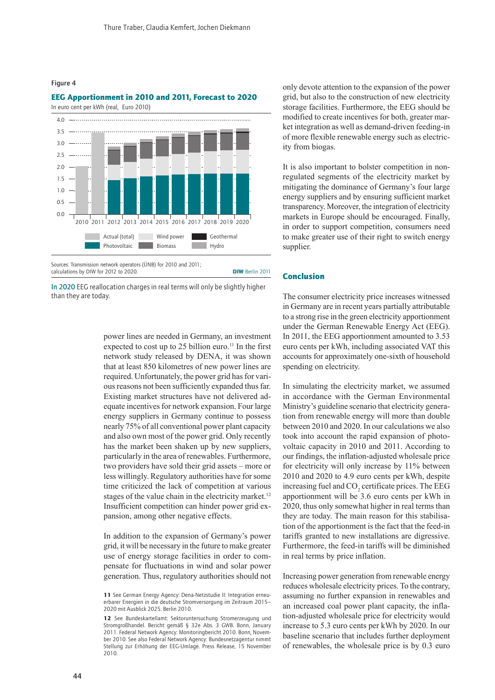Figure 4

### EEG Apportionment in 2010 and 2011, Forecast to 2020



In 2020 EEG reallocation charges in real terms will only be slightly higher than they are today.

power lines are needed in Germany, an investment expected to cost up to 25 billion euro.<sup>11</sup> In the first network study released by DENA, it was shown that at least 850 kilometres of new power lines are required. Unfortunately, the power grid has for various reasons not been sufficiently expanded thus far. Existing market structures have not delivered adequate incentives for network expansion. Four large energy suppliers in Germany continue to possess nearly 75% of all conventional power plant capacity and also own most of the power grid. Only recently has the market been shaken up by new suppliers, particularly in the area of renewables. Furthermore, two providers have sold their grid assets – more or less willingly. Regulatory authorities have for some time criticized the lack of competition at various stages of the value chain in the electricity market.<sup>12</sup> Insufficient competition can hinder power grid expansion, among other negative effects.

In addition to the expansion of Germany's power grid, it will be necessary in the future to make greater use of energy storage facilities in order to compensate for fluctuations in wind and solar power generation. Thus, regulatory authorities should not

only devote attention to the expansion of the power grid, but also to the construction of new electricity storage facilities. Furthermore, the EEG should be modified to create incentives for both, greater market integration as well as demand-driven feeding-in of more flexible renewable energy such as electricity from biogas.

It is also important to bolster competition in nonregulated segments of the electricity market by mitigating the dominance of Germany's four large energy suppliers and by ensuring sufficient market transparency. Moreover, the integration of electricity markets in Europe should be encouraged. Finally, in order to support competition, consumers need to make greater use of their right to switch energy supplier.

#### Conclusion

The consumer electricity price increases witnessed in Germany are in recent years partially attributable to a strong rise in the green electricity apportionment under the German Renewable Energy Act (EEG). In 2011, the EEG apportionment amounted to 3.53 euro cents per kWh, including associated VAT this accounts for approximately one-sixth of household spending on electricity.

In simulating the electricity market, we assumed in accordance with the German Environmental Ministry's guideline scenario that electricity generation from renewable energy will more than double between 2010 and 2020. In our calculations we also took into account the rapid expansion of photovoltaic capacity in 2010 and 2011. According to our findings, the inflation-adjusted wholesale price for electricity will only increase by 11% between 2010 and 2020 to 4.9 euro cents per kWh, despite increasing fuel and  $CO<sub>2</sub>$  certificate prices. The EEG apportionment will be 3.6 euro cents per kWh in 2020, thus only somewhat higher in real terms than they are today. The main reason for this stabilisa-<br>fects. tion of the apportionment is the fact that the feed-in tariffs granted to new installations are digressive. Furthermore, the feed-in tariffs will be diminished in real terms by price inflation.

> Increasing power generation from renewable energy reduces wholesale electricity prices. To the contrary, assuming no further expansion in renewables and an increased coal power plant capacity, the inflation-adjusted wholesale price for electricity would increase to 5.3 euro cents per kWh by 2020. In our baseline scenario that includes further deployment of renewables, the wholesale price is by 0.3 euro

<sup>11</sup> See German Energy Agency: Dena-Netzstudie II: Integration erneuerbarer Energien in die deutsche Stromversorgung im Zeitraum 2015– 2020 mit Ausblick 2025. Berlin 2010.

<sup>12</sup> See Bundeskartellamt: Sektoruntersuchung Stromerzeugung und Stromgroßhandel. Bericht gemäß § 32e Abs. 3 GWB. Bonn, January 2011. Federal Network Agency: Monitoringbericht 2010. Bonn, November 2010. See also Federal Network Agency: Bundesnetzagentur nimmt Stellung zur Erhöhung der EEG-Umlage. Press Release, 15 November 2010.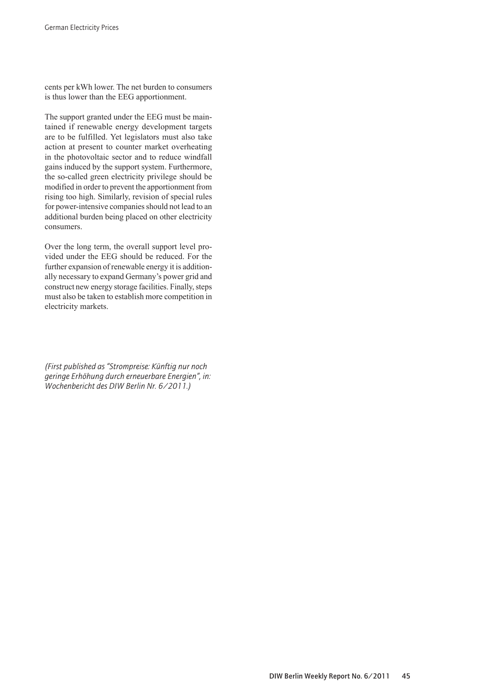cents per kWh lower. The net burden to consumers is thus lower than the EEG apportionment.

The support granted under the EEG must be maintained if renewable energy development targets are to be fulfilled. Yet legislators must also take action at present to counter market overheating in the photovoltaic sector and to reduce windfall gains induced by the support system. Furthermore, the so-called green electricity privilege should be modified in order to prevent the apportionment from rising too high. Similarly, revision of special rules for power-intensive companies should not lead to an additional burden being placed on other electricity consumers.

Over the long term, the overall support level provided under the EEG should be reduced. For the further expansion of renewable energy it is additionally necessary to expand Germany's power grid and construct new energy storage facilities. Finally, steps must also be taken to establish more competition in electricity markets.

*(First published as "Strompreise: Künftig nur noch geringe Erhöhung durch erneuerbare Energien", in: Wochenbericht des DIW Berlin Nr. 6/2011.)*